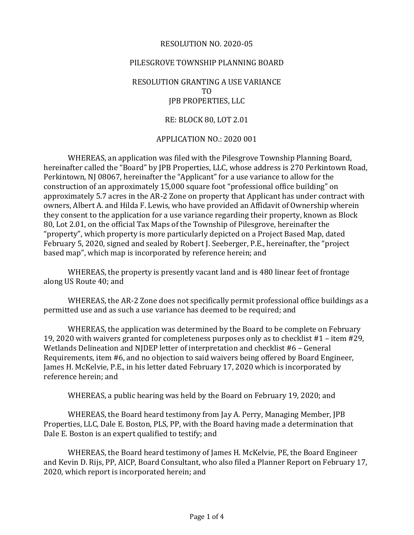### RESOLUTION NO. 2020-05

### PILESGROVE TOWNSHIP PLANNING BOARD

## RESOLUTION GRANTING A USE VARIANCE TO JPB PROPERTIES, LLC

#### RE: BLOCK 80, LOT 2.01

### APPLICATION NO.: 2020 001

WHEREAS, an application was filed with the Pilesgrove Township Planning Board, hereinafter called the "Board" by JPB Properties, LLC, whose address is 270 Perkintown Road, Perkintown, NJ 08067, hereinafter the "Applicant" for a use variance to allow for the construction of an approximately 15,000 square foot "professional office building" on approximately 5.7 acres in the AR-2 Zone on property that Applicant has under contract with owners, Albert A. and Hilda F. Lewis, who have provided an Affidavit of Ownership wherein they consent to the application for a use variance regarding their property, known as Block 80, Lot 2.01, on the official Tax Maps of the Township of Pilesgrove, hereinafter the "property", which property is more particularly depicted on a Project Based Map, dated February 5, 2020, signed and sealed by Robert J. Seeberger, P.E., hereinafter, the "project based map", which map is incorporated by reference herein; and

WHEREAS, the property is presently vacant land and is 480 linear feet of frontage along US Route 40; and

WHEREAS, the AR-2 Zone does not specifically permit professional office buildings as a permitted use and as such a use variance has deemed to be required; and

WHEREAS, the application was determined by the Board to be complete on February 19, 2020 with waivers granted for completeness purposes only as to checklist #1 – item #29, Wetlands Delineation and NJDEP letter of interpretation and checklist #6 – General Requirements, item #6, and no objection to said waivers being offered by Board Engineer, James H. McKelvie, P.E., in his letter dated February 17, 2020 which is incorporated by reference herein; and

WHEREAS, a public hearing was held by the Board on February 19, 2020; and

WHEREAS, the Board heard testimony from Jay A. Perry, Managing Member, JPB Properties, LLC, Dale E. Boston, PLS, PP, with the Board having made a determination that Dale E. Boston is an expert qualified to testify; and

WHEREAS, the Board heard testimony of James H. McKelvie, PE, the Board Engineer and Kevin D. Rijs, PP, AICP, Board Consultant, who also filed a Planner Report on February 17, 2020, which report is incorporated herein; and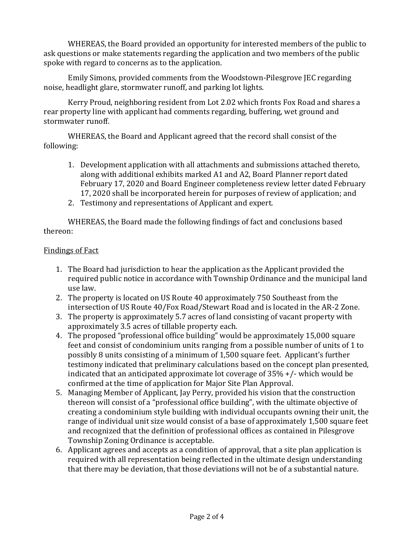WHEREAS, the Board provided an opportunity for interested members of the public to ask questions or make statements regarding the application and two members of the public spoke with regard to concerns as to the application.

Emily Simons, provided comments from the Woodstown-Pilesgrove JEC regarding noise, headlight glare, stormwater runoff, and parking lot lights.

Kerry Proud, neighboring resident from Lot 2.02 which fronts Fox Road and shares a rear property line with applicant had comments regarding, buffering, wet ground and stormwater runoff.

WHEREAS, the Board and Applicant agreed that the record shall consist of the following:

- 1. Development application with all attachments and submissions attached thereto, along with additional exhibits marked A1 and A2, Board Planner report dated February 17, 2020 and Board Engineer completeness review letter dated February 17, 2020 shall be incorporated herein for purposes of review of application; and
- 2. Testimony and representations of Applicant and expert.

WHEREAS, the Board made the following findings of fact and conclusions based thereon:

# Findings of Fact

- 1. The Board had jurisdiction to hear the application as the Applicant provided the required public notice in accordance with Township Ordinance and the municipal land use law.
- 2. The property is located on US Route 40 approximately 750 Southeast from the intersection of US Route 40/Fox Road/Stewart Road and is located in the AR-2 Zone.
- 3. The property is approximately 5.7 acres of land consisting of vacant property with approximately 3.5 acres of tillable property each.
- 4. The proposed "professional office building" would be approximately 15,000 square feet and consist of condominium units ranging from a possible number of units of 1 to possibly 8 units consisting of a minimum of 1,500 square feet. Applicant's further testimony indicated that preliminary calculations based on the concept plan presented, indicated that an anticipated approximate lot coverage of 35% +/- which would be confirmed at the time of application for Major Site Plan Approval.
- 5. Managing Member of Applicant, Jay Perry, provided his vision that the construction thereon will consist of a "professional office building", with the ultimate objective of creating a condominium style building with individual occupants owning their unit, the range of individual unit size would consist of a base of approximately 1,500 square feet and recognized that the definition of professional offices as contained in Pilesgrove Township Zoning Ordinance is acceptable.
- 6. Applicant agrees and accepts as a condition of approval, that a site plan application is required with all representation being reflected in the ultimate design understanding that there may be deviation, that those deviations will not be of a substantial nature.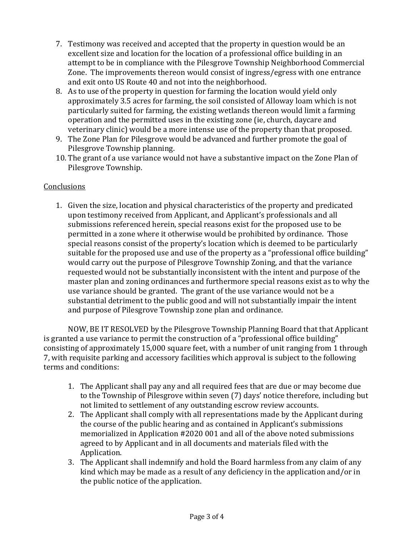- 7. Testimony was received and accepted that the property in question would be an excellent size and location for the location of a professional office building in an attempt to be in compliance with the Pilesgrove Township Neighborhood Commercial Zone. The improvements thereon would consist of ingress/egress with one entrance and exit onto US Route 40 and not into the neighborhood.
- 8. As to use of the property in question for farming the location would yield only approximately 3.5 acres for farming, the soil consisted of Alloway loam which is not particularly suited for farming, the existing wetlands thereon would limit a farming operation and the permitted uses in the existing zone (ie, church, daycare and veterinary clinic) would be a more intense use of the property than that proposed.
- 9. The Zone Plan for Pilesgrove would be advanced and further promote the goal of Pilesgrove Township planning.
- 10. The grant of a use variance would not have a substantive impact on the Zone Plan of Pilesgrove Township.

# Conclusions

1. Given the size, location and physical characteristics of the property and predicated upon testimony received from Applicant, and Applicant's professionals and all submissions referenced herein, special reasons exist for the proposed use to be permitted in a zone where it otherwise would be prohibited by ordinance. Those special reasons consist of the property's location which is deemed to be particularly suitable for the proposed use and use of the property as a "professional office building" would carry out the purpose of Pilesgrove Township Zoning, and that the variance requested would not be substantially inconsistent with the intent and purpose of the master plan and zoning ordinances and furthermore special reasons exist as to why the use variance should be granted. The grant of the use variance would not be a substantial detriment to the public good and will not substantially impair the intent and purpose of Pilesgrove Township zone plan and ordinance.

NOW, BE IT RESOLVED by the Pilesgrove Township Planning Board that that Applicant is granted a use variance to permit the construction of a "professional office building" consisting of approximately 15,000 square feet, with a number of unit ranging from 1 through 7, with requisite parking and accessory facilities which approval is subject to the following terms and conditions:

- 1. The Applicant shall pay any and all required fees that are due or may become due to the Township of Pilesgrove within seven (7) days' notice therefore, including but not limited to settlement of any outstanding escrow review accounts.
- 2. The Applicant shall comply with all representations made by the Applicant during the course of the public hearing and as contained in Applicant's submissions memorialized in Application #2020 001 and all of the above noted submissions agreed to by Applicant and in all documents and materials filed with the Application.
- 3. The Applicant shall indemnify and hold the Board harmless from any claim of any kind which may be made as a result of any deficiency in the application and/or in the public notice of the application.